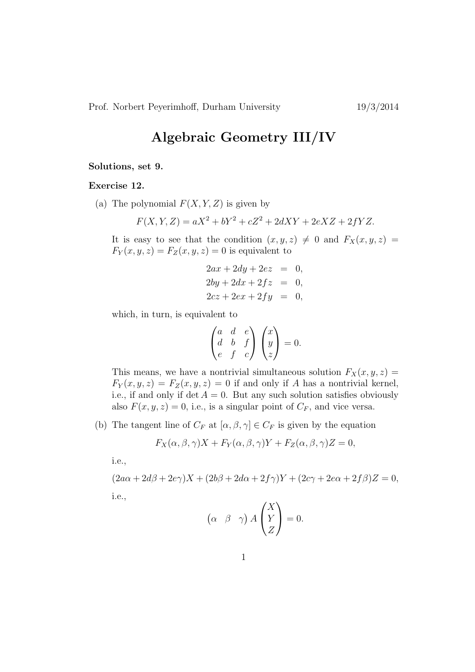## Algebraic Geometry III/IV

## Solutions, set 9.

## Exercise 12.

(a) The polynomial  $F(X, Y, Z)$  is given by

$$
F(X, Y, Z) = aX^2 + bY^2 + cZ^2 + 2dXY + 2eXZ + 2fYZ.
$$

It is easy to see that the condition  $(x, y, z) \neq 0$  and  $F_X(x, y, z) =$  $F_Y(x, y, z) = F_Z(x, y, z) = 0$  is equivalent to

$$
2ax + 2dy + 2ez = 0,
$$
  
\n
$$
2by + 2dx + 2fz = 0,
$$
  
\n
$$
2cz + 2ex + 2fy = 0,
$$

which, in turn, is equivalent to

$$
\begin{pmatrix} a & d & e \\ d & b & f \\ e & f & c \end{pmatrix} \begin{pmatrix} x \\ y \\ z \end{pmatrix} = 0.
$$

This means, we have a nontrivial simultaneous solution  $F_X(x, y, z) =$  $F_Y(x, y, z) = F_Z(x, y, z) = 0$  if and only if A has a nontrivial kernel, i.e., if and only if  $\det A = 0$ . But any such solution satisfies obviously also  $F(x, y, z) = 0$ , i.e., is a singular point of  $C_F$ , and vice versa.

(b) The tangent line of  $C_F$  at  $[\alpha, \beta, \gamma] \in C_F$  is given by the equation

$$
F_X(\alpha, \beta, \gamma)X + F_Y(\alpha, \beta, \gamma)Y + F_Z(\alpha, \beta, \gamma)Z = 0,
$$

i.e.,

$$
(2a\alpha + 2d\beta + 2e\gamma)X + (2b\beta + 2d\alpha + 2f\gamma)Y + (2c\gamma + 2e\alpha + 2f\beta)Z = 0,
$$
  
i.e.,

$$
(\alpha \ \beta \ \gamma) A \begin{pmatrix} X \\ Y \\ Z \end{pmatrix} = 0.
$$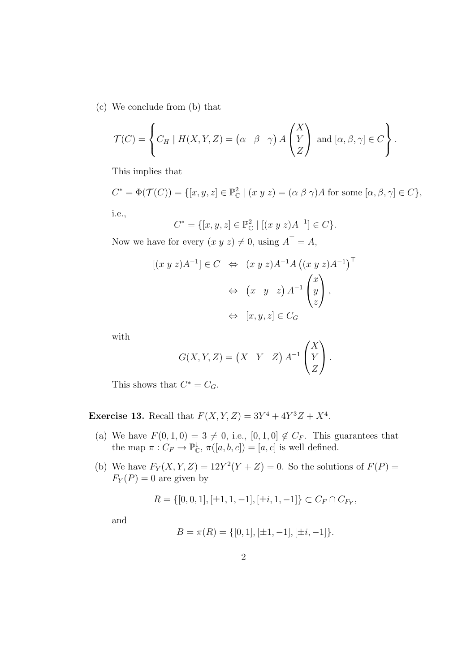(c) We conclude from (b) that

$$
\mathcal{T}(C) = \left\{ C_H \mid H(X, Y, Z) = \begin{pmatrix} \alpha & \beta & \gamma \end{pmatrix} A \begin{pmatrix} X \\ Y \\ Z \end{pmatrix} \text{ and } [\alpha, \beta, \gamma] \in C \right\}.
$$

This implies that

$$
C^* = \Phi(\mathcal{T}(C)) = \{ [x, y, z] \in \mathbb{P}_{\mathbb{C}}^2 \mid (x \ y \ z) = (\alpha \ \beta \ \gamma)A \text{ for some } [\alpha, \beta, \gamma] \in C \},
$$
  
i.e.,

$$
C^* = \{ [x, y, z] \in \mathbb{P}_{\mathbb{C}}^2 \mid [(x \ y \ z)A^{-1}] \in C \}.
$$

Now we have for every  $(x y z) \neq 0$ , using  $A^{\top} = A$ ,

$$
[(x y z)A^{-1}] \in C \Leftrightarrow (x y z)A^{-1}A ((x y z)A^{-1})^{\top}
$$

$$
\Leftrightarrow (x y z)A^{-1} \begin{pmatrix} x \\ y \\ z \end{pmatrix},
$$

$$
\Leftrightarrow [x, y, z] \in C_G
$$

with

$$
G(X, Y, Z) = \begin{pmatrix} X & Y & Z \end{pmatrix} A^{-1} \begin{pmatrix} X \\ Y \\ Z \end{pmatrix}.
$$

This shows that  $C^* = C_G$ .

**Exercise 13.** Recall that  $F(X, Y, Z) = 3Y^4 + 4Y^3Z + X^4$ .

- (a) We have  $F(0, 1, 0) = 3 \neq 0$ , i.e.,  $[0, 1, 0] \notin C_F$ . This guarantees that the map  $\pi: C_F \to \mathbb{P}^1_{\mathbb{C}}, \pi([a, b, c]) = [a, c]$  is well defined.
- (b) We have  $F_Y(X, Y, Z) = 12Y^2(Y + Z) = 0$ . So the solutions of  $F(P) =$  $F_Y(P) = 0$  are given by

$$
R = \{[0, 0, 1], [\pm 1, 1, -1], [\pm i, 1, -1]\} \subset C_F \cap C_{F_Y},
$$

and

$$
B = \pi(R) = \{[0, 1], [\pm 1, -1], [\pm i, -1]\}.
$$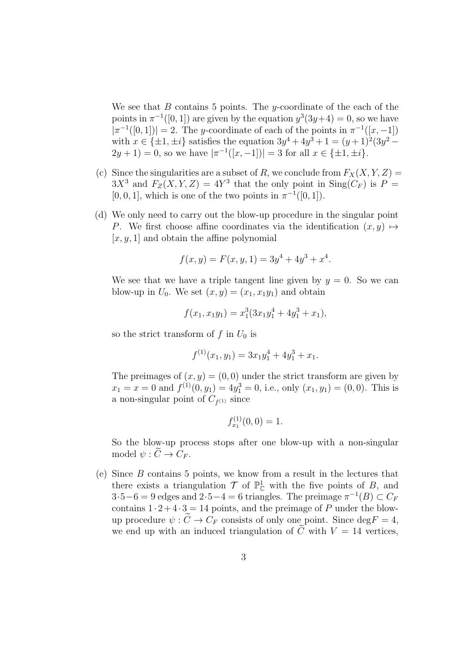We see that  $B$  contains 5 points. The y-coordinate of the each of the points in  $\pi^{-1}([0,1])$  are given by the equation  $y^3(3y+4) = 0$ , so we have  $|\pi^{-1}([0,1])| = 2$ . The y-coordinate of each of the points in  $\pi^{-1}([x,-1])$ with  $x \in \{\pm 1, \pm i\}$  satisfies the equation  $3y^4 + 4y^3 + 1 = (y+1)^2(3y^2 2y+1=0$ , so we have  $|\pi^{-1}([x,-1])|=3$  for all  $x \in {\pm 1, \pm i}.$ 

- (c) Since the singularities are a subset of R, we conclude from  $F_X(X, Y, Z) =$  $3X^3$  and  $F_Z(X, Y, Z) = 4Y^3$  that the only point in  $\text{Sing}(C_F)$  is  $P =$  $[0, 0, 1]$ , which is one of the two points in  $\pi^{-1}([0, 1])$ .
- (d) We only need to carry out the blow-up procedure in the singular point P. We first choose affine coordinates via the identification  $(x, y) \mapsto$  $[x, y, 1]$  and obtain the affine polynomial

$$
f(x, y) = F(x, y, 1) = 3y4 + 4y3 + x4.
$$

We see that we have a triple tangent line given by  $y = 0$ . So we can blow-up in  $U_0$ . We set  $(x, y) = (x_1, x_1y_1)$  and obtain

$$
f(x_1, x_1y_1) = x_1^3(3x_1y_1^4 + 4y_1^3 + x_1),
$$

so the strict transform of f in  $U_0$  is

$$
f^{(1)}(x_1, y_1) = 3x_1y_1^4 + 4y_1^3 + x_1.
$$

The preimages of  $(x, y) = (0, 0)$  under the strict transform are given by  $x_1 = x = 0$  and  $f^{(1)}(0, y_1) = 4y_1^3 = 0$ , i.e., only  $(x_1, y_1) = (0, 0)$ . This is a non-singular point of  $C_{f^{(1)}}$  since

$$
f_{x_1}^{(1)}(0,0) = 1.
$$

So the blow-up process stops after one blow-up with a non-singular model  $\psi : \widetilde{C} \to C_F$ .

(e) Since B contains 5 points, we know from a result in the lectures that there exists a triangulation  $\mathcal{T}$  of  $\mathbb{P}^1_{\mathbb{C}}$  with the five points of B, and  $3.5-6=9$  edges and  $2.5-4=6$  triangles. The preimage  $\pi^{-1}(B) \subset C_F$ contains  $1 \cdot 2 + 4 \cdot 3 = 14$  points, and the preimage of P under the blowup procedure  $\psi : \widetilde{C} \to C_F$  consists of only one point. Since  $\deg F = 4$ , we end up with an induced triangulation of  $\tilde{C}$  with  $V = 14$  vertices,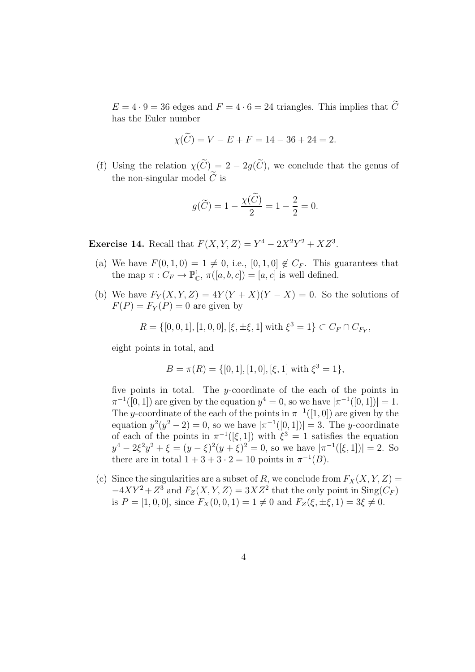$E = 4 \cdot 9 = 36$  edges and  $F = 4 \cdot 6 = 24$  triangles. This implies that  $\widetilde{C}$ has the Euler number

$$
\chi(\hat{C}) = V - E + F = 14 - 36 + 24 = 2.
$$

(f) Using the relation  $\chi(\widetilde{C}) = 2 - 2g(\widetilde{C})$ , we conclude that the genus of the non-singular model  $C$  is

$$
g(\widetilde{C}) = 1 - \frac{\chi(\widetilde{C})}{2} = 1 - \frac{2}{2} = 0.
$$

**Exercise 14.** Recall that  $F(X, Y, Z) = Y^4 - 2X^2Y^2 + XZ^3$ .

- (a) We have  $F(0, 1, 0) = 1 \neq 0$ , i.e.,  $[0, 1, 0] \notin C_F$ . This guarantees that the map  $\pi: C_F \to \mathbb{P}^1_{\mathbb{C}}, \pi([a, b, c]) = [a, c]$  is well defined.
- (b) We have  $F_Y(X, Y, Z) = 4Y(Y + X)(Y X) = 0$ . So the solutions of  $F(P) = F_Y(P) = 0$  are given by

$$
R = \{ [0, 0, 1], [1, 0, 0], [\xi, \pm \xi, 1] \text{ with } \xi^3 = 1 \} \subset C_F \cap C_{F_Y},
$$

eight points in total, and

$$
B = \pi(R) = \{ [0, 1], [1, 0], [\xi, 1] \text{ with } \xi^3 = 1 \},
$$

five points in total. The *y*-coordinate of the each of the points in  $\pi^{-1}([0,1])$  are given by the equation  $y^4 = 0$ , so we have  $|\pi^{-1}([0,1])| = 1$ . The y-coordinate of the each of the points in  $\pi^{-1}([1,0])$  are given by the equation  $y^2(y^2-2)=0$ , so we have  $|\pi^{-1}([0,1])|=3$ . The y-coordinate of each of the points in  $\pi^{-1}([\xi,1])$  with  $\xi^3=1$  satisfies the equation  $y^4 - 2\xi^2 y^2 + \xi = (y - \xi)^2 (y + \xi)^2 = 0$ , so we have  $|\pi^{-1}([\xi, 1])| = 2$ . So there are in total  $1+3+3\cdot 2=10$  points in  $\pi^{-1}(B)$ .

(c) Since the singularities are a subset of R, we conclude from  $F_X(X, Y, Z) =$  $-4XY^2 + Z^3$  and  $F_Z(X, Y, Z) = 3XZ^2$  that the only point in Sing( $C_F$ ) is  $P = [1, 0, 0]$ , since  $F_X(0, 0, 1) = 1 \neq 0$  and  $F_Z(\xi, \pm \xi, 1) = 3\xi \neq 0$ .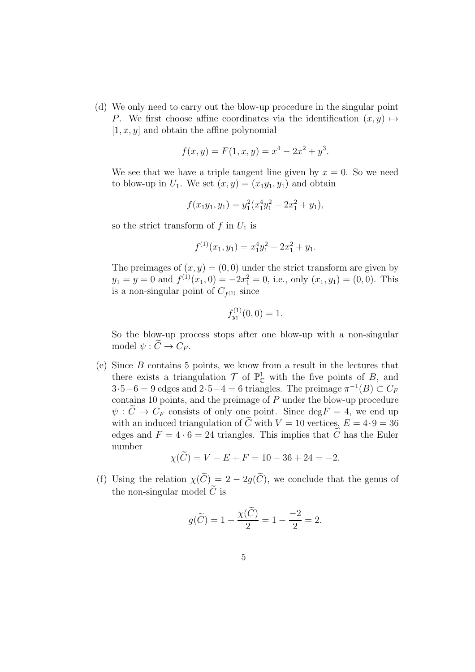(d) We only need to carry out the blow-up procedure in the singular point P. We first choose affine coordinates via the identification  $(x, y) \mapsto$  $[1, x, y]$  and obtain the affine polynomial

$$
f(x, y) = F(1, x, y) = x^4 - 2x^2 + y^3.
$$

We see that we have a triple tangent line given by  $x = 0$ . So we need to blow-up in  $U_1$ . We set  $(x, y) = (x_1y_1, y_1)$  and obtain

$$
f(x_1y_1, y_1) = y_1^2(x_1^4y_1^2 - 2x_1^2 + y_1),
$$

so the strict transform of f in  $U_1$  is

$$
f^{(1)}(x_1, y_1) = x_1^4 y_1^2 - 2x_1^2 + y_1.
$$

The preimages of  $(x, y) = (0, 0)$  under the strict transform are given by  $y_1 = y = 0$  and  $f^{(1)}(x_1, 0) = -2x_1^2 = 0$ , i.e., only  $(x_1, y_1) = (0, 0)$ . This is a non-singular point of  $C_{f^{(1)}}$  since

$$
f_{y_1}^{(1)}(0,0) = 1.
$$

So the blow-up process stops after one blow-up with a non-singular model  $\psi : \widetilde{C} \to C_F$ .

(e) Since B contains 5 points, we know from a result in the lectures that there exists a triangulation  $\mathcal{T}$  of  $\mathbb{P}^1_{\mathbb{C}}$  with the five points of B, and  $3.5-6=9$  edges and  $2.5-4=6$  triangles. The preimage  $\pi^{-1}(B) \subset C_F$ contains 10 points, and the preimage of  $P$  under the blow-up procedure  $\psi : \widetilde{C} \to C_F$  consists of only one point. Since  $\deg F = 4$ , we end up with an induced triangulation of  $\tilde{C}$  with  $V = 10$  vertices,  $E = 4.9 = 36$ edges and  $F = 4 \cdot 6 = 24$  triangles. This implies that  $\tilde{C}$  has the Euler number

$$
\chi(\tilde{C}) = V - E + F = 10 - 36 + 24 = -2.
$$

(f) Using the relation  $\chi(\widetilde{C}) = 2 - 2g(\widetilde{C})$ , we conclude that the genus of the non-singular model  $\tilde{C}$  is

$$
g(\widetilde{C}) = 1 - \frac{\chi(\widetilde{C})}{2} = 1 - \frac{-2}{2} = 2.
$$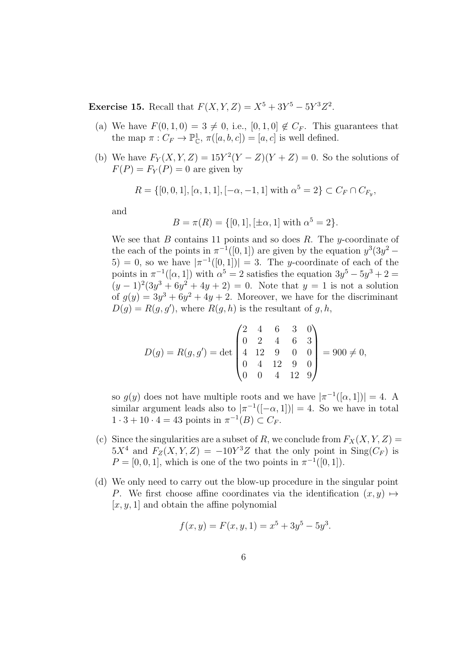**Exercise 15.** Recall that  $F(X, Y, Z) = X^5 + 3Y^5 - 5Y^3Z^2$ .

- (a) We have  $F(0, 1, 0) = 3 \neq 0$ , i.e.,  $[0, 1, 0] \notin C_F$ . This guarantees that the map  $\pi: C_F \to \mathbb{P}^1_{\mathbb{C}}, \pi([a, b, c]) = [a, c]$  is well defined.
- (b) We have  $F_Y(X, Y, Z) = 15Y^2(Y Z)(Y + Z) = 0$ . So the solutions of  $F(P) = F_Y(P) = 0$  are given by

$$
R = \{ [0, 0, 1], [\alpha, 1, 1], [-\alpha, -1, 1] \text{ with } \alpha^5 = 2 \} \subset C_F \cap C_{F_y},
$$

and

$$
B = \pi(R) = \{[0, 1], [\pm \alpha, 1] \text{ with } \alpha^5 = 2\}.
$$

We see that B contains 11 points and so does R. The y-coordinate of the each of the points in  $\pi^{-1}([0,1])$  are given by the equation  $y^3(3y^2 -$ 5) = 0, so we have  $|\pi^{-1}([0,1])| = 3$ . The y-coordinate of each of the points in  $\pi^{-1}([\alpha,1])$  with  $\alpha^5 = 2$  satisfies the equation  $3y^5 - 5y^3 + 2 =$  $(y-1)^2(3y^3+6y^2+4y+2)=0$ . Note that  $y=1$  is not a solution of  $g(y) = 3y^3 + 6y^2 + 4y + 2$ . Moreover, we have for the discriminant  $D(g) = R(g, g')$ , where  $R(g, h)$  is the resultant of g, h,

$$
D(g) = R(g, g') = \det \begin{pmatrix} 2 & 4 & 6 & 3 & 0 \\ 0 & 2 & 4 & 6 & 3 \\ 4 & 12 & 9 & 0 & 0 \\ 0 & 4 & 12 & 9 & 0 \\ 0 & 0 & 4 & 12 & 9 \end{pmatrix} = 900 \neq 0,
$$

so  $g(y)$  does not have multiple roots and we have  $|\pi^{-1}([\alpha,1])|=4$ . A similar argument leads also to  $|\pi^{-1}([-\alpha, 1])| = 4$ . So we have in total  $1 \cdot 3 + 10 \cdot 4 = 43$  points in  $\pi^{-1}(B) \subset C_F$ .

- (c) Since the singularities are a subset of R, we conclude from  $F_X(X, Y, Z) =$  $5X^4$  and  $F_Z(X, Y, Z) = -10Y^3Z$  that the only point in  $\text{Sing}(C_F)$  is  $P = [0, 0, 1]$ , which is one of the two points in  $\pi^{-1}([0, 1])$ .
- (d) We only need to carry out the blow-up procedure in the singular point P. We first choose affine coordinates via the identification  $(x, y) \mapsto$  $[x, y, 1]$  and obtain the affine polynomial

$$
f(x, y) = F(x, y, 1) = x^5 + 3y^5 - 5y^3.
$$